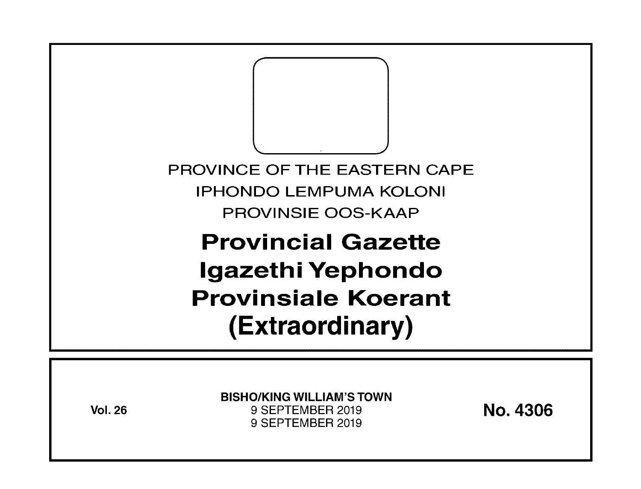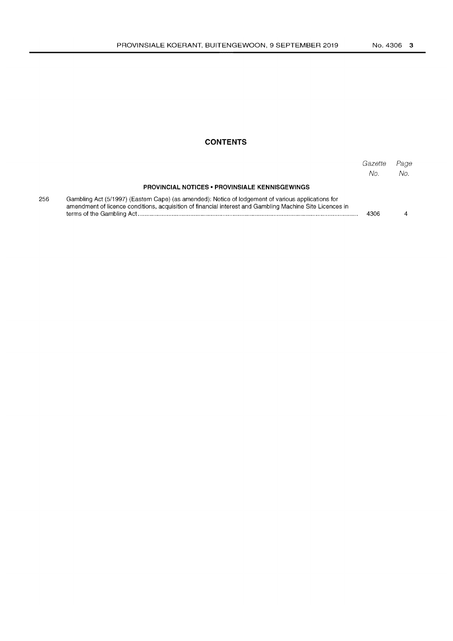# **CONTENTS**

|     |                                                                                                                                                                                                                | Gazette<br>No. | Page<br>No. |
|-----|----------------------------------------------------------------------------------------------------------------------------------------------------------------------------------------------------------------|----------------|-------------|
|     | <b>PROVINCIAL NOTICES • PROVINSIALE KENNISGEWINGS</b>                                                                                                                                                          |                |             |
| 256 | Gambling Act (5/1997) (Eastern Cape) (as amended): Notice of lodgement of various applications for<br>amendment of licence conditions, acquisition of financial interest and Gambling Machine Site Licences in | 4306           |             |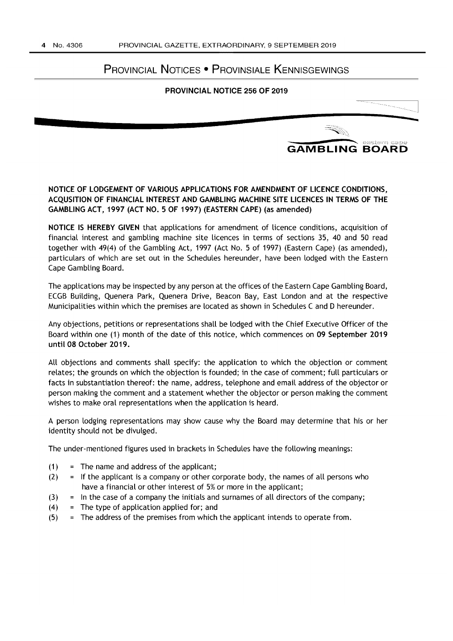# PROVINCIAL NOTICES • PROVINSIALE KENNISGEWINGS

#### PROVINCIAL NOTICE 256 OF 2019



# NOTICE OF LODGEMENT OF VARIOUS APPLICATIONS FOR AMENDMENT OF LICENCE CONDITIONS, ACQUSITION OF FINANCIAL INTEREST AND GAMBLING MACHINE SITE LICENCES IN TERMS OF THE GAMBLING ACT, 1997 (ACT NO.5 OF 1997) (EASTERN CAPE) (as amended)

NOTICE IS HEREBY GIVEN that applications for amendment of licence conditions, acquisition of financial interest and gambling machine site licences in terms of sections 35, 40 and 50 read together with 49(4) of the Gambling Act, 1997 (Act No. 5 of 1997) (Eastern Cape) (as amended), particulars of which are set out in the Schedules hereunder, have been lodged with the Eastern Cape Gambling Board.

The applications may be inspected by any person at the offices of the Eastern Cape Gambling Board, ECGB Building, Quenera Park, Quenera Drive, Beacon Bay, East London and at the respective Municipalities within which the premises are located as shown in Schedules C and D hereunder.

Any objections, petitions or representations shall be lodged with the Chief Executive Officer of the Board within one (1) month of the date of this notice, which commences on 09 September 2019 until 08 October 2019.

All objections and comments shall specify: the application to which the objection or comment relates; the grounds on which the objection is founded; in the case of comment; full particulars or facts in substantiation thereof: the name, address, telephone and email address of the objector or person making the comment and a statement whether the objector or person making the comment wishes to make oral representations when the application is heard.

A person lodging representations may show cause why the Board may determine that his or her identity should not be divulged.

The under-mentioned figures used in brackets in Schedules have the following meanings:

- $(1)$  = The name and address of the applicant;
- $(2)$  = If the applicant is a company or other corporate body, the names of all persons who have a financial or other interest of 5% or more in the applicant;
- $(3)$  = In the case of a company the initials and surnames of all directors of the company;
- $(4)$  = The type of application applied for; and
- $(5)$  = The address of the premises from which the applicant intends to operate from.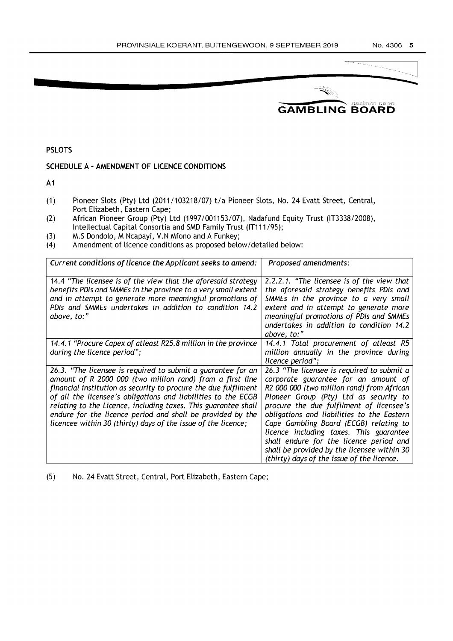

PSLOTS

## SCHEDULE A - AMENDMENT OF LICENCE CONDITIONS

A1

- (1) Pioneer Slots (Pty) Ltd (2011/103218/07) t/a Pioneer Slots, No. 24 Evatt Street, Central, Port Elizabeth, Eastern Cape;
- (2) African Pioneer Group (Pty) Ltd (19971001153/07), Nadafund Equity Trust (IT3338/2008), Intellectual Capital Consortia and SMD Family Trust (IT111 195);
- (3) M.S Dondolo, M Ncapayi, V.N Mfono and A Funkey;
- (4) Amendment of licence conditions as proposed below/detailed below:

| Current conditions of licence the Applicant seeks to amend:                                                                                                                                                                                                                                                                                                                                                                                                    | Proposed amendments:                                                                                                                                                                                                                                                                                                                                                                                                                                                                              |  |
|----------------------------------------------------------------------------------------------------------------------------------------------------------------------------------------------------------------------------------------------------------------------------------------------------------------------------------------------------------------------------------------------------------------------------------------------------------------|---------------------------------------------------------------------------------------------------------------------------------------------------------------------------------------------------------------------------------------------------------------------------------------------------------------------------------------------------------------------------------------------------------------------------------------------------------------------------------------------------|--|
| 14.4 "The licensee is of the view that the aforesaid strategy<br>benefits PDIs and SMMEs in the province to a very small extent<br>and in attempt to generate more meaningful promotions of<br>PDIs and SMMEs undertakes in addition to condition 14.2<br>above, to:"                                                                                                                                                                                          | 2.2.2.1. "The licensee is of the view that<br>the aforesaid strategy benefits PDIs and<br>SMMEs in the province to a very small<br>extent and in attempt to generate more<br>meaningful promotions of PDIs and SMMEs<br>undertakes in addition to condition 14.2<br>above, to:"                                                                                                                                                                                                                   |  |
| 14.4.1 "Procure Capex of atleast R25.8 million in the province<br>during the licence period";                                                                                                                                                                                                                                                                                                                                                                  | 14.4.1 Total procurement of atleast R5<br>million annually in the province during<br>licence period";                                                                                                                                                                                                                                                                                                                                                                                             |  |
| 26.3. "The licensee is required to submit a guarantee for an<br>amount of R 2000 000 (two million rand) from a first line<br>financial institution as security to procure the due fulfilment<br>of all the licensee's obligations and liabilities to the ECGB<br>relating to the Licence, including taxes. This guarantee shall<br>endure for the licence period and shall be provided by the<br>licencee within 30 (thirty) days of the issue of the licence; | 26.3 "The licensee is required to submit a<br>corporate guarantee for an amount of<br>R2 000 000 (two million rand) from African<br>Pioneer Group (Pty) Ltd as security to<br>procure the due fulfilment of licensee's<br>obligations and liabilities to the Eastern<br>Cape Gambling Board (ECGB) relating to<br>licence including taxes. This guarantee<br>shall endure for the licence period and<br>shall be provided by the licensee within 30<br>(thirty) days of the issue of the licence. |  |

(5) No. 24 Evatt Street, Central, Port Elizabeth, Eastern Cape;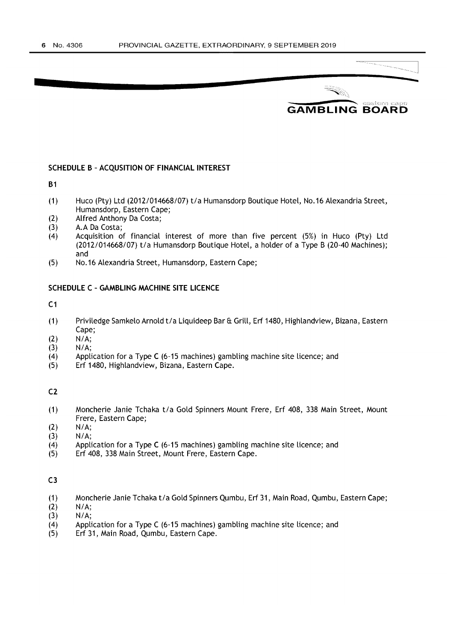**7** 



#### SCHEDULE B - ACQUSITION OF FINANCIAL INTEREST

B1

- (1) Huco (Pty) Ltd (2012/014668/07) t/a Humansdorp Boutique Hotel, No. 16 Alexandria Street, Humansdorp, Eastern Cape;
- (2) Alfred Anthony Da Costa;
- (3) A.A Da Costa;
- (4) Acquisition of financial interest of more than five percent (5%) in Huco (Pty) Ltd (2012/014668/07) t/a Humansdorp Boutique Hotel, a holder of a Type B (20-40 Machines); and
- (5) No. 16 Alexandria Street, Humansdorp, Eastern Cape;

#### SCHEDULE C - GAMBLING MACHINE SITE LICENCE

 $C<sub>1</sub>$ 

- (1) Priviledge Samkelo Arnold t/a Liquideep Bar & Grill, Erf 1480, Highlandview, Bizana, Eastern Cape;
- $(2)$   $N/A;$
- *(3) NI* A;
- $(4)$  Application for a Type C (6-15 machines) gambling machine site licence; and
- (5) Erf 1480, Highlandview, Bizana, Eastern Cape.

 $C<sub>2</sub>$ 

- (1) Moncherie Janie Tchaka t/a Gold Spinners Mount Frere, Erf 408, 338 Main Street, Mount Frere, Eastern Cape;
- (2) *NI* A;
- (3) **N/A;**<br>(4) **Appli**
- Application for a Type C (6-15 machines) gambling machine site licence; and
- (5) Erf 408, 338 Main Street, Mount Frere, Eastern Cape.

- (1) Moncherie Janie Tchaka t/a Gold Spinners Qumbu, Erf 31, Main Road, Qumbu, Eastern Cape;
- $(2)$   $N/A$ :
- (3) N/A;
- (4) Application for a Type C (6-15 machines) gambling machine site licence; and
- (5) Erf 31, Main Road, Qumbu, Eastern Cape.

C3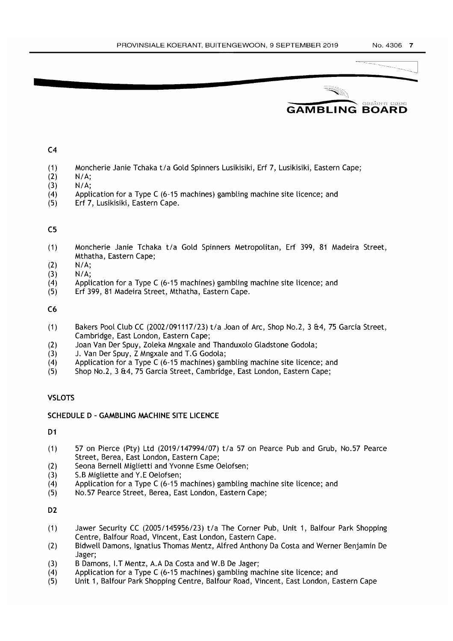# **\_\_\_\_\_\_\_\_\_** castern cape **GAMBLING BOARD**

 $C<sub>4</sub>$ 

**7** 

- (1) Moncherie Janie Tchaka *tla* Gold Spinners Lusikisiki, Erf 7, Lusikisiki, Eastern Cape;
- $(2)$  N/A;
- $(3)$  N/A;
- (4) Application for a Type C (6-15 machines) gambling machine site licence; and
- (5) Erf 7, Lusikisiki, Eastern Cape.

### C5

- (1) Moncherie Janie Tchaka *tla* Gold Spinners Metropolitan, Erf 399, 81 Madeira Street, Mthatha, Eastern Cape;
- $(2)$  N/A;
- (3) N/A;
- (4) Application for a Type C (6-15 machines) gambling machine site licence; and
- (5) Erf 399, 81 Madeira Street, Mthatha, Eastern Cape.

C6

- (1) Bakers Pool Club CC (20021091117123) *tla* Joan of Arc, Shop No.2, 3 &4, 75 Garcia Street, Cambridge, East London, Eastern Cape;
- (2) Joan Van Der Spuy, Zoleka Mngxale and Thanduxolo Gladstone Godola;
- (3) J. Van Der Spuy, Z Mngxale and T.G Godola;<br>(4) Application for a Type C (6-15 machines) gar
- Application for a Type C (6-15 machines) gambling machine site licence; and
- (5) Shop No.2, 3 &4, 75 Garcia Street, Cambridge, East London, Eastern Cape;

## **VSLOTS**

### SCHEDULE D - GAMBLING MACHINE SITE LICENCE

D<sub>1</sub>

- (1) 57 on Pierce (Pty) Ltd (2019/147994/07) *tla* 57 on Pearce Pub and Grub, NO.57 Pearce Street, Berea, East London, Eastern Cape;
- (2) Seona Bernell Miglietti and Yvonne Esme Oelofsen;
- (3) S.B Migliette and Y.E Oelofsen;
- (4) Application for a Type C (6-15 machines) gambling machine site licence; and
- (5) NO.57 Pearce Street, Berea, East London, Eastern Cape;

D<sub>2</sub>

- (1) Jawer Security CC (2005/145956123) *tla* The Corner Pub, Unit 1, Balfour Park Shopping Centre, Balfour Road, Vincent, East London, Eastern Cape.
- (2) Bidwell Damons, Ignatius Thomas Mentz, Alfred Anthony Da Costa and Werner Benjamin De Jager;
- (3) B Damons, I.T Mentz, A.A Da Costa and W.B De Jager;
- $(4)$  Application for a Type C (6-15 machines) gambling machine site licence; and
- (5) Unit 1, Balfour Park Shopping Centre, Balfour Road, Vincent, East London, Eastern Cape